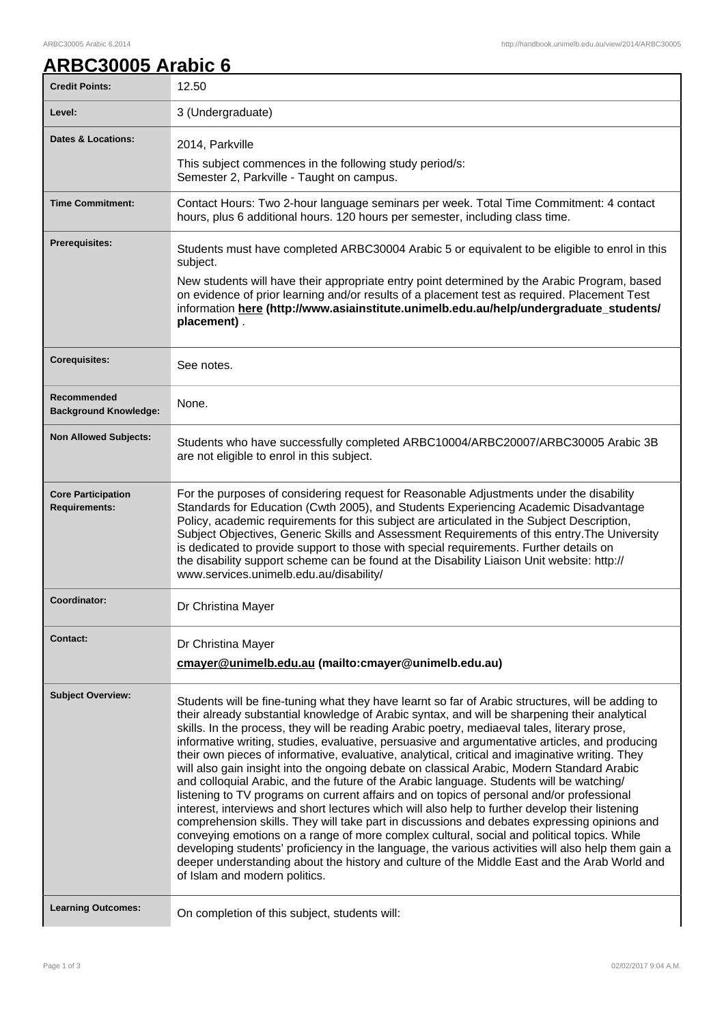## **ARBC30005 Arabic 6**

| <b>Credit Points:</b>                             | 12.50                                                                                                                                                                                                                                                                                                                                                                                                                                                                                                                                                                                                                                                                                                                                                                                                                                                                                                                                                                                                                                                                                                                                                                                                                                                                                                                                   |
|---------------------------------------------------|-----------------------------------------------------------------------------------------------------------------------------------------------------------------------------------------------------------------------------------------------------------------------------------------------------------------------------------------------------------------------------------------------------------------------------------------------------------------------------------------------------------------------------------------------------------------------------------------------------------------------------------------------------------------------------------------------------------------------------------------------------------------------------------------------------------------------------------------------------------------------------------------------------------------------------------------------------------------------------------------------------------------------------------------------------------------------------------------------------------------------------------------------------------------------------------------------------------------------------------------------------------------------------------------------------------------------------------------|
| Level:                                            | 3 (Undergraduate)                                                                                                                                                                                                                                                                                                                                                                                                                                                                                                                                                                                                                                                                                                                                                                                                                                                                                                                                                                                                                                                                                                                                                                                                                                                                                                                       |
| <b>Dates &amp; Locations:</b>                     | 2014, Parkville<br>This subject commences in the following study period/s:<br>Semester 2, Parkville - Taught on campus.                                                                                                                                                                                                                                                                                                                                                                                                                                                                                                                                                                                                                                                                                                                                                                                                                                                                                                                                                                                                                                                                                                                                                                                                                 |
| <b>Time Commitment:</b>                           | Contact Hours: Two 2-hour language seminars per week. Total Time Commitment: 4 contact<br>hours, plus 6 additional hours. 120 hours per semester, including class time.                                                                                                                                                                                                                                                                                                                                                                                                                                                                                                                                                                                                                                                                                                                                                                                                                                                                                                                                                                                                                                                                                                                                                                 |
| Prerequisites:                                    | Students must have completed ARBC30004 Arabic 5 or equivalent to be eligible to enrol in this<br>subject.<br>New students will have their appropriate entry point determined by the Arabic Program, based<br>on evidence of prior learning and/or results of a placement test as required. Placement Test<br>information here (http://www.asiainstitute.unimelb.edu.au/help/undergraduate_students/<br>placement).                                                                                                                                                                                                                                                                                                                                                                                                                                                                                                                                                                                                                                                                                                                                                                                                                                                                                                                      |
| <b>Corequisites:</b>                              | See notes.                                                                                                                                                                                                                                                                                                                                                                                                                                                                                                                                                                                                                                                                                                                                                                                                                                                                                                                                                                                                                                                                                                                                                                                                                                                                                                                              |
| Recommended<br><b>Background Knowledge:</b>       | None.                                                                                                                                                                                                                                                                                                                                                                                                                                                                                                                                                                                                                                                                                                                                                                                                                                                                                                                                                                                                                                                                                                                                                                                                                                                                                                                                   |
| <b>Non Allowed Subjects:</b>                      | Students who have successfully completed ARBC10004/ARBC20007/ARBC30005 Arabic 3B<br>are not eligible to enrol in this subject.                                                                                                                                                                                                                                                                                                                                                                                                                                                                                                                                                                                                                                                                                                                                                                                                                                                                                                                                                                                                                                                                                                                                                                                                          |
| <b>Core Participation</b><br><b>Requirements:</b> | For the purposes of considering request for Reasonable Adjustments under the disability<br>Standards for Education (Cwth 2005), and Students Experiencing Academic Disadvantage<br>Policy, academic requirements for this subject are articulated in the Subject Description,<br>Subject Objectives, Generic Skills and Assessment Requirements of this entry. The University<br>is dedicated to provide support to those with special requirements. Further details on<br>the disability support scheme can be found at the Disability Liaison Unit website: http://<br>www.services.unimelb.edu.au/disability/                                                                                                                                                                                                                                                                                                                                                                                                                                                                                                                                                                                                                                                                                                                        |
| Coordinator:                                      | Dr Christina Mayer                                                                                                                                                                                                                                                                                                                                                                                                                                                                                                                                                                                                                                                                                                                                                                                                                                                                                                                                                                                                                                                                                                                                                                                                                                                                                                                      |
| Contact:                                          | Dr Christina Mayer<br>cmayer@unimelb.edu.au (mailto:cmayer@unimelb.edu.au)                                                                                                                                                                                                                                                                                                                                                                                                                                                                                                                                                                                                                                                                                                                                                                                                                                                                                                                                                                                                                                                                                                                                                                                                                                                              |
| <b>Subject Overview:</b>                          | Students will be fine-tuning what they have learnt so far of Arabic structures, will be adding to<br>their already substantial knowledge of Arabic syntax, and will be sharpening their analytical<br>skills. In the process, they will be reading Arabic poetry, mediaeval tales, literary prose,<br>informative writing, studies, evaluative, persuasive and argumentative articles, and producing<br>their own pieces of informative, evaluative, analytical, critical and imaginative writing. They<br>will also gain insight into the ongoing debate on classical Arabic, Modern Standard Arabic<br>and colloquial Arabic, and the future of the Arabic language. Students will be watching/<br>listening to TV programs on current affairs and on topics of personal and/or professional<br>interest, interviews and short lectures which will also help to further develop their listening<br>comprehension skills. They will take part in discussions and debates expressing opinions and<br>conveying emotions on a range of more complex cultural, social and political topics. While<br>developing students' proficiency in the language, the various activities will also help them gain a<br>deeper understanding about the history and culture of the Middle East and the Arab World and<br>of Islam and modern politics. |
| <b>Learning Outcomes:</b>                         | On completion of this subject, students will:                                                                                                                                                                                                                                                                                                                                                                                                                                                                                                                                                                                                                                                                                                                                                                                                                                                                                                                                                                                                                                                                                                                                                                                                                                                                                           |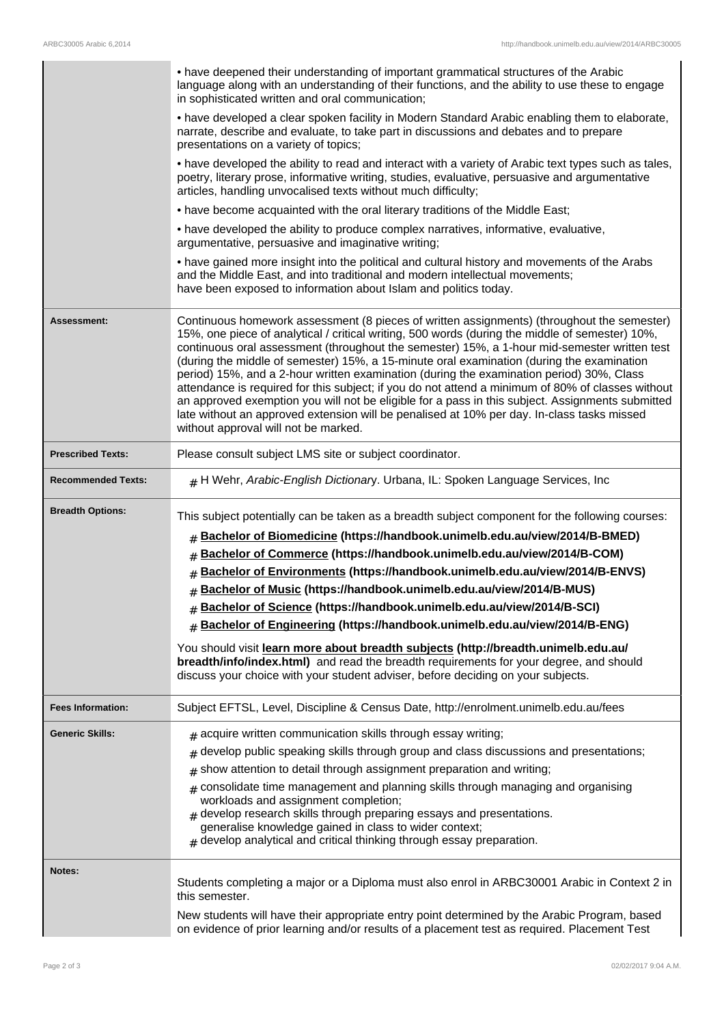|                           | • have deepened their understanding of important grammatical structures of the Arabic<br>language along with an understanding of their functions, and the ability to use these to engage<br>in sophisticated written and oral communication;                                                                                                                                                                                                                                                                                                                                                                                                                                                                                                                                                                                          |
|---------------------------|---------------------------------------------------------------------------------------------------------------------------------------------------------------------------------------------------------------------------------------------------------------------------------------------------------------------------------------------------------------------------------------------------------------------------------------------------------------------------------------------------------------------------------------------------------------------------------------------------------------------------------------------------------------------------------------------------------------------------------------------------------------------------------------------------------------------------------------|
|                           | • have developed a clear spoken facility in Modern Standard Arabic enabling them to elaborate,<br>narrate, describe and evaluate, to take part in discussions and debates and to prepare<br>presentations on a variety of topics;                                                                                                                                                                                                                                                                                                                                                                                                                                                                                                                                                                                                     |
|                           | • have developed the ability to read and interact with a variety of Arabic text types such as tales,<br>poetry, literary prose, informative writing, studies, evaluative, persuasive and argumentative<br>articles, handling unvocalised texts without much difficulty;                                                                                                                                                                                                                                                                                                                                                                                                                                                                                                                                                               |
|                           | • have become acquainted with the oral literary traditions of the Middle East;                                                                                                                                                                                                                                                                                                                                                                                                                                                                                                                                                                                                                                                                                                                                                        |
|                           | • have developed the ability to produce complex narratives, informative, evaluative,                                                                                                                                                                                                                                                                                                                                                                                                                                                                                                                                                                                                                                                                                                                                                  |
|                           | argumentative, persuasive and imaginative writing;                                                                                                                                                                                                                                                                                                                                                                                                                                                                                                                                                                                                                                                                                                                                                                                    |
|                           | • have gained more insight into the political and cultural history and movements of the Arabs<br>and the Middle East, and into traditional and modern intellectual movements;<br>have been exposed to information about Islam and politics today.                                                                                                                                                                                                                                                                                                                                                                                                                                                                                                                                                                                     |
| Assessment:               | Continuous homework assessment (8 pieces of written assignments) (throughout the semester)<br>15%, one piece of analytical / critical writing, 500 words (during the middle of semester) 10%,<br>continuous oral assessment (throughout the semester) 15%, a 1-hour mid-semester written test<br>(during the middle of semester) 15%, a 15-minute oral examination (during the examination<br>period) 15%, and a 2-hour written examination (during the examination period) 30%, Class<br>attendance is required for this subject; if you do not attend a minimum of 80% of classes without<br>an approved exemption you will not be eligible for a pass in this subject. Assignments submitted<br>late without an approved extension will be penalised at 10% per day. In-class tasks missed<br>without approval will not be marked. |
| <b>Prescribed Texts:</b>  | Please consult subject LMS site or subject coordinator.                                                                                                                                                                                                                                                                                                                                                                                                                                                                                                                                                                                                                                                                                                                                                                               |
| <b>Recommended Texts:</b> | $#$ H Wehr, Arabic-English Dictionary. Urbana, IL: Spoken Language Services, Inc                                                                                                                                                                                                                                                                                                                                                                                                                                                                                                                                                                                                                                                                                                                                                      |
| <b>Breadth Options:</b>   | This subject potentially can be taken as a breadth subject component for the following courses:                                                                                                                                                                                                                                                                                                                                                                                                                                                                                                                                                                                                                                                                                                                                       |
|                           | # Bachelor of Biomedicine (https://handbook.unimelb.edu.au/view/2014/B-BMED)                                                                                                                                                                                                                                                                                                                                                                                                                                                                                                                                                                                                                                                                                                                                                          |
|                           | Bachelor of Commerce (https://handbook.unimelb.edu.au/view/2014/B-COM)                                                                                                                                                                                                                                                                                                                                                                                                                                                                                                                                                                                                                                                                                                                                                                |
|                           | #<br>Bachelor of Environments (https://handbook.unimelb.edu.au/view/2014/B-ENVS)                                                                                                                                                                                                                                                                                                                                                                                                                                                                                                                                                                                                                                                                                                                                                      |
|                           | $\#$<br># Bachelor of Music (https://handbook.unimelb.edu.au/view/2014/B-MUS)                                                                                                                                                                                                                                                                                                                                                                                                                                                                                                                                                                                                                                                                                                                                                         |
|                           | # Bachelor of Science (https://handbook.unimelb.edu.au/view/2014/B-SCI)                                                                                                                                                                                                                                                                                                                                                                                                                                                                                                                                                                                                                                                                                                                                                               |
|                           | # Bachelor of Engineering (https://handbook.unimelb.edu.au/view/2014/B-ENG)                                                                                                                                                                                                                                                                                                                                                                                                                                                                                                                                                                                                                                                                                                                                                           |
|                           |                                                                                                                                                                                                                                                                                                                                                                                                                                                                                                                                                                                                                                                                                                                                                                                                                                       |
|                           | You should visit learn more about breadth subjects (http://breadth.unimelb.edu.au/<br>breadth/info/index.html) and read the breadth requirements for your degree, and should<br>discuss your choice with your student adviser, before deciding on your subjects.                                                                                                                                                                                                                                                                                                                                                                                                                                                                                                                                                                      |
| <b>Fees Information:</b>  | Subject EFTSL, Level, Discipline & Census Date, http://enrolment.unimelb.edu.au/fees                                                                                                                                                                                                                                                                                                                                                                                                                                                                                                                                                                                                                                                                                                                                                  |
| <b>Generic Skills:</b>    | $#$ acquire written communication skills through essay writing;                                                                                                                                                                                                                                                                                                                                                                                                                                                                                                                                                                                                                                                                                                                                                                       |
|                           | develop public speaking skills through group and class discussions and presentations;<br>#                                                                                                                                                                                                                                                                                                                                                                                                                                                                                                                                                                                                                                                                                                                                            |
|                           | show attention to detail through assignment preparation and writing;<br>#                                                                                                                                                                                                                                                                                                                                                                                                                                                                                                                                                                                                                                                                                                                                                             |
|                           | $*$ consolidate time management and planning skills through managing and organising                                                                                                                                                                                                                                                                                                                                                                                                                                                                                                                                                                                                                                                                                                                                                   |
|                           | workloads and assignment completion;<br>$#$ develop research skills through preparing essays and presentations.                                                                                                                                                                                                                                                                                                                                                                                                                                                                                                                                                                                                                                                                                                                       |
|                           | generalise knowledge gained in class to wider context;                                                                                                                                                                                                                                                                                                                                                                                                                                                                                                                                                                                                                                                                                                                                                                                |
|                           | $#$ develop analytical and critical thinking through essay preparation.                                                                                                                                                                                                                                                                                                                                                                                                                                                                                                                                                                                                                                                                                                                                                               |
| Notes:                    |                                                                                                                                                                                                                                                                                                                                                                                                                                                                                                                                                                                                                                                                                                                                                                                                                                       |
|                           | Students completing a major or a Diploma must also enrol in ARBC30001 Arabic in Context 2 in<br>this semester.                                                                                                                                                                                                                                                                                                                                                                                                                                                                                                                                                                                                                                                                                                                        |
|                           | New students will have their appropriate entry point determined by the Arabic Program, based<br>on evidence of prior learning and/or results of a placement test as required. Placement Test                                                                                                                                                                                                                                                                                                                                                                                                                                                                                                                                                                                                                                          |